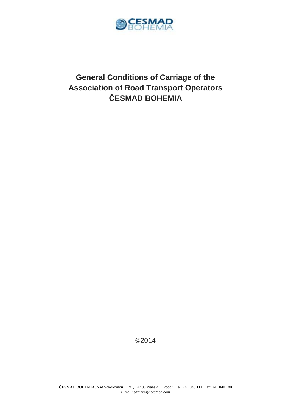

# **General Conditions of Carriage of the Association of Road Transport Operators ČESMAD BOHEMIA**

©2014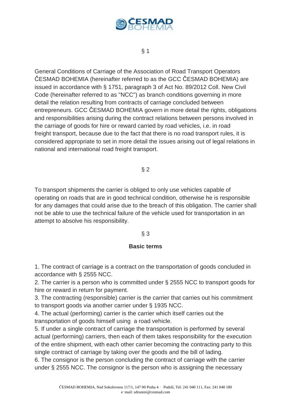

# § 1

General Conditions of Carriage of the Association of Road Transport Operators ČESMAD BOHEMIA (hereinafter referred to as the GCC ČESMAD BOHEMIA) are issued in accordance with § 1751, paragraph 3 of Act No. 89/2012 Coll. New Civil Code (hereinafter referred to as "NCC") as branch conditions governing in more detail the relation resulting from contracts of carriage concluded between entrepreneurs. GCC ČESMAD BOHEMIA govern in more detail the rights, obligations and responsibilities arising during the contract relations between persons involved in the carriage of goods for hire or reward carried by road vehicles, i.e. in road freight transport, because due to the fact that there is no road transport rules, it is considered appropriate to set in more detail the issues arising out of legal relations in national and international road freight transport.

 $§$  2

To transport shipments the carrier is obliged to only use vehicles capable of operating on roads that are in good technical condition, otherwise he is responsible for any damages that could arise due to the breach of this obligation. The carrier shall not be able to use the technical failure of the vehicle used for transportation in an attempt to absolve his responsibility.

# § 3

# **Basic terms**

1. The contract of carriage is a contract on the transportation of goods concluded in accordance with § 2555 NCC.

2. The carrier is a person who is committed under § 2555 NCC to transport goods for hire or reward in return for payment.

3. The contracting (responsible) carrier is the carrier that carries out his commitment to transport goods via another carrier under § 1935 NCC.

4. The actual (performing) carrier is the carrier which itself carries out the transportation of goods himself using a road vehicle.

5. If under a single contract of carriage the transportation is performed by several actual (performing) carriers, then each of them takes responsibility for the execution of the entire shipment, with each other carrier becoming the contracting party to this single contract of carriage by taking over the goods and the bill of lading.

6. The consignor is the person concluding the contract of carriage with the carrier under § 2555 NCC. The consignor is the person who is assigning the necessary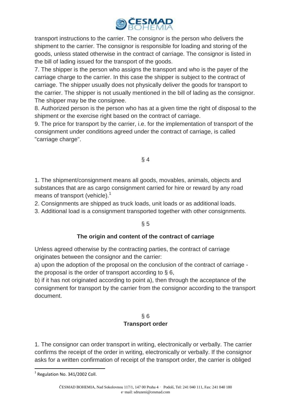

transport instructions to the carrier. The consignor is the person who delivers the shipment to the carrier. The consignor is responsible for loading and storing of the goods, unless stated otherwise in the contract of carriage. The consignor is listed in the bill of lading issued for the transport of the goods.

7. The shipper is the person who assigns the transport and who is the payer of the carriage charge to the carrier. In this case the shipper is subject to the contract of carriage. The shipper usually does not physically deliver the goods for transport to the carrier. The shipper is not usually mentioned in the bill of lading as the consignor. The shipper may be the consignee.

8. Authorized person is the person who has at a given time the right of disposal to the shipment or the exercise right based on the contract of carriage.

9. The price for transport by the carrier, i.e. for the implementation of transport of the consignment under conditions agreed under the contract of carriage, is called "carriage charge".

# § 4

1. The shipment/consignment means all goods, movables, animals, objects and substances that are as cargo consignment carried for hire or reward by any road means of transport (vehicle).<sup>1</sup>

2. Consignments are shipped as truck loads, unit loads or as additional loads.

3. Additional load is a consignment transported together with other consignments.

# $§ 5$

# **The origin and content of the contract of carriage**

Unless agreed otherwise by the contracting parties, the contract of carriage originates between the consignor and the carrier:

a) upon the adoption of the proposal on the conclusion of the contract of carriage the proposal is the order of transport according to § 6,

b) if it has not originated according to point a), then through the acceptance of the consignment for transport by the carrier from the consignor according to the transport document.

# § 6 **Transport order**

1. The consignor can order transport in writing, electronically or verbally. The carrier confirms the receipt of the order in writing, electronically or verbally. If the consignor asks for a written confirmation of receipt of the transport order, the carrier is obliged

 $1$  Regulation No. 341/2002 Coll.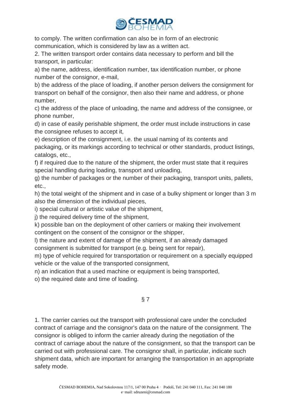

to comply. The written confirmation can also be in form of an electronic communication, which is considered by law as a written act.

2. The written transport order contains data necessary to perform and bill the transport, in particular:

a) the name, address, identification number, tax identification number, or phone number of the consignor, e-mail,

b) the address of the place of loading, if another person delivers the consignment for transport on behalf of the consignor, then also their name and address, or phone number,

c) the address of the place of unloading, the name and address of the consignee, or phone number,

d) in case of easily perishable shipment, the order must include instructions in case the consignee refuses to accept it,

e) description of the consignment, i.e. the usual naming of its contents and packaging, or its markings according to technical or other standards, product listings, catalogs, etc.,

f) if required due to the nature of the shipment, the order must state that it requires special handling during loading, transport and unloading,

g) the number of packages or the number of their packaging, transport units, pallets, etc.,

h) the total weight of the shipment and in case of a bulky shipment or longer than 3 m also the dimension of the individual pieces,

i) special cultural or artistic value of the shipment,

j) the required delivery time of the shipment,

k) possible ban on the deployment of other carriers or making their involvement contingent on the consent of the consignor or the shipper,

l) the nature and extent of damage of the shipment, if an already damaged consignment is submitted for transport (e.g. being sent for repair),

m) type of vehicle required for transportation or requirement on a specially equipped vehicle or the value of the transported consignment,

n) an indication that a used machine or equipment is being transported,

o) the required date and time of loading.

# § 7

1. The carrier carries out the transport with professional care under the concluded contract of carriage and the consignor's data on the nature of the consignment. The consignor is obliged to inform the carrier already during the negotiation of the contract of carriage about the nature of the consignment, so that the transport can be carried out with professional care. The consignor shall, in particular, indicate such shipment data, which are important for arranging the transportation in an appropriate safety mode.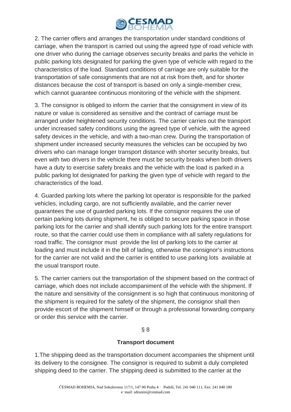

2. The carrier offers and arranges the transportation under standard conditions of carriage, when the transport is carried out using the agreed type of road vehicle with one driver who during the carriage observes security breaks and parks the vehicle in public parking lots designated for parking the given type of vehicle with regard to the characteristics of the load. Standard conditions of carriage are only suitable for the transportation of safe consignments that are not at risk from theft, and for shorter distances because the cost of transport is based on only a single-member crew, which cannot guarantee continuous monitoring of the vehicle with the shipment.

3. The consignor is obliged to inform the carrier that the consignment in view of its nature or value is considered as sensitive and the contract of carriage must be arranged under heightened security conditions. The carrier carries out the transport under increased safety conditions using the agreed type of vehicle, with the agreed safety devices in the vehicle, and with a two-man crew. During the transportation of shipment under increased security measures the vehicles can be occupied by two drivers who can manage longer transport distance with shorter security breaks, but even with two drivers in the vehicle there must be security breaks when both drivers have a duty to exercise safety breaks and the vehicle with the load is parked in a public parking lot designated for parking the given type of vehicle with regard to the characteristics of the load.

4. Guarded parking lots where the parking lot operator is responsible for the parked vehicles, including cargo, are not sufficiently available, and the carrier never guarantees the use of guarded parking lots. If the consignor requires the use of certain parking lots during shipment, he is obliged to secure parking space in those parking lots for the carrier and shall identify such parking lots for the entire transport route, so that the carrier could use them in compliance with all safety regulations for road traffic. The consignor must provide the list of parking lots to the carrier at loading and must include it in the bill of lading, otherwise the consignor's instructions for the carrier are not valid and the carrier is entitled to use parking lots available at the usual transport route.

5. The carrier carriers out the transportation of the shipment based on the contract of carriage, which does not include accompaniment of the vehicle with the shipment. If the nature and sensitivity of the consignment is so high that continuous monitoring of the shipment is required for the safety of the shipment, the consignor shall then provide escort of the shipment himself or through a professional forwarding company or order this service with the carrier.

# § 8

#### **Transport document**

1.The shipping deed as the transportation document accompanies the shipment until its delivery to the consignee. The consignor is required to submit a duly completed shipping deed to the carrier. The shipping deed is submitted to the carrier at the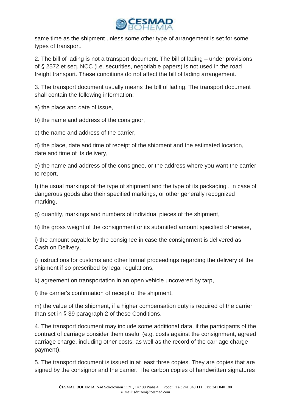

same time as the shipment unless some other type of arrangement is set for some types of transport.

2. The bill of lading is not a transport document. The bill of lading – under provisions of § 2572 et seq. NCC (i.e. securities, negotiable papers) is not used in the road freight transport. These conditions do not affect the bill of lading arrangement.

3. The transport document usually means the bill of lading. The transport document shall contain the following information:

a) the place and date of issue,

b) the name and address of the consignor,

c) the name and address of the carrier,

d) the place, date and time of receipt of the shipment and the estimated location, date and time of its delivery,

e) the name and address of the consignee, or the address where you want the carrier to report,

f) the usual markings of the type of shipment and the type of its packaging , in case of dangerous goods also their specified markings, or other generally recognized marking,

g) quantity, markings and numbers of individual pieces of the shipment,

h) the gross weight of the consignment or its submitted amount specified otherwise,

i) the amount payable by the consignee in case the consignment is delivered as Cash on Delivery,

j) instructions for customs and other formal proceedings regarding the delivery of the shipment if so prescribed by legal regulations,

k) agreement on transportation in an open vehicle uncovered by tarp,

l) the carrier's confirmation of receipt of the shipment,

m) the value of the shipment, if a higher compensation duty is required of the carrier than set in § 39 paragraph 2 of these Conditions.

4. The transport document may include some additional data, if the participants of the contract of carriage consider them useful (e.g. costs against the consignment, agreed carriage charge, including other costs, as well as the record of the carriage charge payment).

5. The transport document is issued in at least three copies. They are copies that are signed by the consignor and the carrier. The carbon copies of handwritten signatures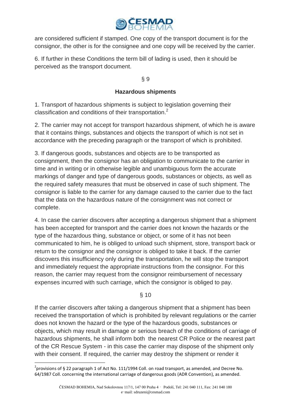

are considered sufficient if stamped. One copy of the transport document is for the consignor, the other is for the consignee and one copy will be received by the carrier.

6. If further in these Conditions the term bill of lading is used, then it should be perceived as the transport document.

§ 9

# **Hazardous shipments**

1. Transport of hazardous shipments is subject to legislation governing their classification and conditions of their transportation. $2$ 

2. The carrier may not accept for transport hazardous shipment, of which he is aware that it contains things, substances and objects the transport of which is not set in accordance with the preceding paragraph or the transport of which is prohibited.

3. If dangerous goods, substances and objects are to be transported as consignment, then the consignor has an obligation to communicate to the carrier in time and in writing or in otherwise legible and unambiguous form the accurate markings of danger and type of dangerous goods, substances or objects, as well as the required safety measures that must be observed in case of such shipment. The consignor is liable to the carrier for any damage caused to the carrier due to the fact that the data on the hazardous nature of the consignment was not correct or complete.

4. In case the carrier discovers after accepting a dangerous shipment that a shipment has been accepted for transport and the carrier does not known the hazards or the type of the hazardous thing, substance or object, or some of it has not been communicated to him, he is obliged to unload such shipment, store, transport back or return to the consignor and the consignor is obliged to take it back. If the carrier discovers this insufficiency only during the transportation, he will stop the transport and immediately request the appropriate instructions from the consignor. For this reason, the carrier may request from the consignor reimbursement of necessary expenses incurred with such carriage, which the consignor is obliged to pay.

§ 10

If the carrier discovers after taking a dangerous shipment that a shipment has been received the transportation of which is prohibited by relevant regulations or the carrier does not known the hazard or the type of the hazardous goods, substances or objects, which may result in damage or serious breach of the conditions of carriage of hazardous shipments, he shall inform both the nearest CR Police or the nearest part of the CR Rescue System - in this case the carrier may dispose of the shipment only with their consent. If required, the carrier may destroy the shipment or render it

 $\overline{\phantom{a}}$ 

 $^{2}$ provisions of § 22 paragraph 1 of Act No. 111/1994 Coll. on road transport, as amended, and Decree No. 64/1987 Coll. concerning the international carriage of dangerous goods (ADR Convention), as amended.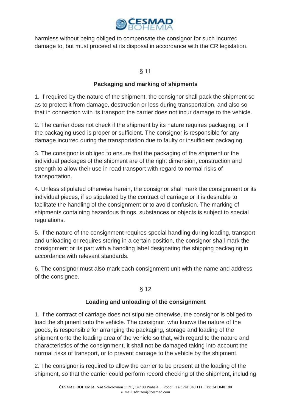

harmless without being obliged to compensate the consignor for such incurred damage to, but must proceed at its disposal in accordance with the CR legislation.

# § 11

# **Packaging and marking of shipments**

1. If required by the nature of the shipment, the consignor shall pack the shipment so as to protect it from damage, destruction or loss during transportation, and also so that in connection with its transport the carrier does not incur damage to the vehicle.

2. The carrier does not check if the shipment by its nature requires packaging, or if the packaging used is proper or sufficient. The consignor is responsible for any damage incurred during the transportation due to faulty or insufficient packaging.

3. The consignor is obliged to ensure that the packaging of the shipment or the individual packages of the shipment are of the right dimension, construction and strength to allow their use in road transport with regard to normal risks of transportation.

4. Unless stipulated otherwise herein, the consignor shall mark the consignment or its individual pieces, if so stipulated by the contract of carriage or it is desirable to facilitate the handling of the consignment or to avoid confusion. The marking of shipments containing hazardous things, substances or objects is subject to special regulations.

5. If the nature of the consignment requires special handling during loading, transport and unloading or requires storing in a certain position, the consignor shall mark the consignment or its part with a handling label designating the shipping packaging in accordance with relevant standards.

6. The consignor must also mark each consignment unit with the name and address of the consignee.

# § 12

# **Loading and unloading of the consignment**

1. If the contract of carriage does not stipulate otherwise, the consignor is obliged to load the shipment onto the vehicle. The consignor, who knows the nature of the goods, is responsible for arranging the packaging, storage and loading of the shipment onto the loading area of the vehicle so that, with regard to the nature and characteristics of the consignment, it shall not be damaged taking into account the normal risks of transport, or to prevent damage to the vehicle by the shipment.

2. The consignor is required to allow the carrier to be present at the loading of the shipment, so that the carrier could perform record checking of the shipment, including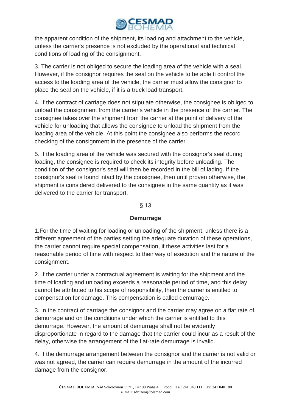

the apparent condition of the shipment, its loading and attachment to the vehicle, unless the carrier's presence is not excluded by the operational and technical conditions of loading of the consignment.

3. The carrier is not obliged to secure the loading area of the vehicle with a seal. However, if the consignor requires the seal on the vehicle to be able ti control the access to the loading area of the vehicle, the carrier must allow the consignor to place the seal on the vehicle, if it is a truck load transport.

4. If the contract of carriage does not stipulate otherwise, the consignee is obliged to unload the consignment from the carrier's vehicle in the presence of the carrier. The consignee takes over the shipment from the carrier at the point of delivery of the vehicle for unloading that allows the consignee to unload the shipment from the loading area of the vehicle. At this point the consignee also performs the record checking of the consignment in the presence of the carrier.

5. If the loading area of the vehicle was secured with the consignor's seal during loading, the consignee is required to check its integrity before unloading. The condition of the consignor's seal will then be recorded in the bill of lading. If the consignor's seal is found intact by the consignee, then until proven otherwise, the shipment is considered delivered to the consignee in the same quantity as it was delivered to the carrier for transport.

#### § 13

#### **Demurrage**

1.For the time of waiting for loading or unloading of the shipment, unless there is a different agreement of the parties setting the adequate duration of these operations, the carrier cannot require special compensation, if these activities last for a reasonable period of time with respect to their way of execution and the nature of the consignment.

2. If the carrier under a contractual agreement is waiting for the shipment and the time of loading and unloading exceeds a reasonable period of time, and this delay cannot be attributed to his scope of responsibility, then the carrier is entitled to compensation for damage. This compensation is called demurrage.

3. In the contract of carriage the consignor and the carrier may agree on a flat rate of demurrage and on the conditions under which the carrier is entitled to this demurrage. However, the amount of demurrage shall not be evidently disproportionate in regard to the damage that the carrier could incur as a result of the delay, otherwise the arrangement of the flat-rate demurrage is invalid.

4. If the demurrage arrangement between the consignor and the carrier is not valid or was not agreed, the carrier can require demurrage in the amount of the incurred damage from the consignor.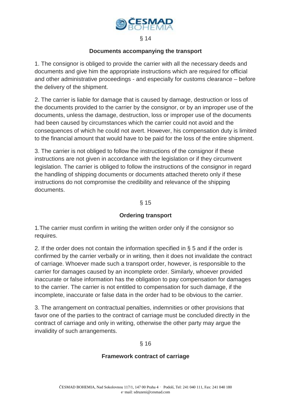

§ 14

#### **Documents accompanying the transport**

1. The consignor is obliged to provide the carrier with all the necessary deeds and documents and give him the appropriate instructions which are required for official and other administrative proceedings - and especially for customs clearance – before the delivery of the shipment.

2. The carrier is liable for damage that is caused by damage, destruction or loss of the documents provided to the carrier by the consignor, or by an improper use of the documents, unless the damage, destruction, loss or improper use of the documents had been caused by circumstances which the carrier could not avoid and the consequences of which he could not avert. However, his compensation duty is limited to the financial amount that would have to be paid for the loss of the entire shipment.

3. The carrier is not obliged to follow the instructions of the consignor if these instructions are not given in accordance with the legislation or if they circumvent legislation. The carrier is obliged to follow the instructions of the consignor in regard the handling of shipping documents or documents attached thereto only if these instructions do not compromise the credibility and relevance of the shipping documents.

§ 15

# **Ordering transport**

1.The carrier must confirm in writing the written order only if the consignor so requires.

2. If the order does not contain the information specified in § 5 and if the order is confirmed by the carrier verbally or in writing, then it does not invalidate the contract of carriage. Whoever made such a transport order, however, is responsible to the carrier for damages caused by an incomplete order. Similarly, whoever provided inaccurate or false information has the obligation to pay compensation for damages to the carrier. The carrier is not entitled to compensation for such damage, if the incomplete, inaccurate or false data in the order had to be obvious to the carrier.

3. The arrangement on contractual penalties, indemnities or other provisions that favor one of the parties to the contract of carriage must be concluded directly in the contract of carriage and only in writing, otherwise the other party may argue the invalidity of such arrangements.

# § 16

# **Framework contract of carriage**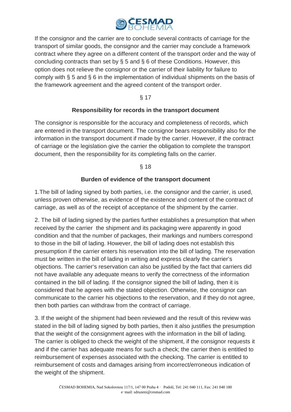

If the consignor and the carrier are to conclude several contracts of carriage for the transport of similar goods, the consignor and the carrier may conclude a framework contract where they agree on a different content of the transport order and the way of concluding contracts than set by § 5 and § 6 of these Conditions. However, this option does not relieve the consignor or the carrier of their liability for failure to comply with § 5 and § 6 in the implementation of individual shipments on the basis of the framework agreement and the agreed content of the transport order.

§ 17

# **Responsibility for records in the transport document**

The consignor is responsible for the accuracy and completeness of records, which are entered in the transport document. The consignor bears responsibility also for the information in the transport document if made by the carrier. However, if the contract of carriage or the legislation give the carrier the obligation to complete the transport document, then the responsibility for its completing falls on the carrier.

§ 18

# **Burden of evidence of the transport document**

1.The bill of lading signed by both parties, i.e. the consignor and the carrier, is used, unless proven otherwise, as evidence of the existence and content of the contract of carriage, as well as of the receipt of acceptance of the shipment by the carrier.

2. The bill of lading signed by the parties further establishes a presumption that when received by the carrier the shipment and its packaging were apparently in good condition and that the number of packages, their markings and numbers correspond to those in the bill of lading. However, the bill of lading does not establish this presumption if the carrier enters his reservation into the bill of lading. The reservation must be written in the bill of lading in writing and express clearly the carrier's objections. The carrier's reservation can also be justified by the fact that carriers did not have available any adequate means to verify the correctness of the information contained in the bill of lading. If the consignor signed the bill of lading, then it is considered that he agrees with the stated objection. Otherwise, the consignor can communicate to the carrier his objections to the reservation, and if they do not agree, then both parties can withdraw from the contract of carriage.

3. If the weight of the shipment had been reviewed and the result of this review was stated in the bill of lading signed by both parties, then it also justifies the presumption that the weight of the consignment agrees with the information in the bill of lading. The carrier is obliged to check the weight of the shipment, if the consignor requests it and if the carrier has adequate means for such a check; the carrier then is entitled to reimbursement of expenses associated with the checking. The carrier is entitled to reimbursement of costs and damages arising from incorrect/erroneous indication of the weight of the shipment.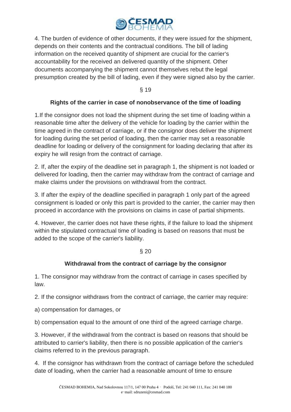

4. The burden of evidence of other documents, if they were issued for the shipment, depends on their contents and the contractual conditions. The bill of lading information on the received quantity of shipment are crucial for the carrier's accountability for the received an delivered quantity of the shipment. Other documents accompanying the shipment cannot themselves rebut the legal presumption created by the bill of lading, even if they were signed also by the carrier.

§ 19

# **Rights of the carrier in case of nonobservance of the time of loading**

1.If the consignor does not load the shipment during the set time of loading within a reasonable time after the delivery of the vehicle for loading by the carrier within the time agreed in the contract of carriage, or if the consignor does deliver the shipment for loading during the set period of loading, then the carrier may set a reasonable deadline for loading or delivery of the consignment for loading declaring that after its expiry he will resign from the contract of carriage.

2. If, after the expiry of the deadline set in paragraph 1, the shipment is not loaded or delivered for loading, then the carrier may withdraw from the contract of carriage and make claims under the provisions on withdrawal from the contract.

3. If after the expiry of the deadline specified in paragraph 1 only part of the agreed consignment is loaded or only this part is provided to the carrier, the carrier may then proceed in accordance with the provisions on claims in case of partial shipments.

4. However, the carrier does not have these rights, if the failure to load the shipment within the stipulated contractual time of loading is based on reasons that must be added to the scope of the carrier's liability.

# § 20

# **Withdrawal from the contract of carriage by the consignor**

1. The consignor may withdraw from the contract of carriage in cases specified by law.

2. If the consignor withdraws from the contract of carriage, the carrier may require:

a) compensation for damages, or

b) compensation equal to the amount of one third of the agreed carriage charge.

3. However, if the withdrawal from the contract is based on reasons that should be attributed to carrier's liability, then there is no possible application of the carrier's claims referred to in the previous paragraph.

4. If the consignor has withdrawn from the contract of carriage before the scheduled date of loading, when the carrier had a reasonable amount of time to ensure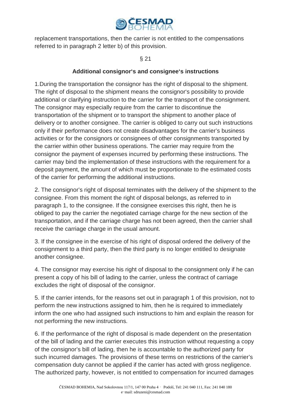

replacement transportations, then the carrier is not entitled to the compensations referred to in paragraph 2 letter b) of this provision.

§ 21

# **Additional consignor's and consignee's instructions**

1.During the transportation the consignor has the right of disposal to the shipment. The right of disposal to the shipment means the consignor's possibility to provide additional or clarifying instruction to the carrier for the transport of the consignment. The consignor may especially require from the carrier to discontinue the transportation of the shipment or to transport the shipment to another place of delivery or to another consignee. The carrier is obliged to carry out such instructions only if their performance does not create disadvantages for the carrier's business activities or for the consignors or consignees of other consignments transported by the carrier within other business operations. The carrier may require from the consignor the payment of expenses incurred by performing these instructions. The carrier may bind the implementation of these instructions with the requirement for a deposit payment, the amount of which must be proportionate to the estimated costs of the carrier for performing the additional instructions.

2. The consignor's right of disposal terminates with the delivery of the shipment to the consignee. From this moment the right of disposal belongs, as referred to in paragraph 1, to the consignee. If the consignee exercises this right, then he is obliged to pay the carrier the negotiated carriage charge for the new section of the transportation, and if the carriage charge has not been agreed, then the carrier shall receive the carriage charge in the usual amount.

3. If the consignee in the exercise of his right of disposal ordered the delivery of the consignment to a third party, then the third party is no longer entitled to designate another consignee.

4. The consignor may exercise his right of disposal to the consignment only if he can present a copy of his bill of lading to the carrier, unless the contract of carriage excludes the right of disposal of the consignor.

5. If the carrier intends, for the reasons set out in paragraph 1 of this provision, not to perform the new instructions assigned to him, then he is required to immediately inform the one who had assigned such instructions to him and explain the reason for not performing the new instructions.

6. If the performance of the right of disposal is made dependent on the presentation of the bill of lading and the carrier executes this instruction without requesting a copy of the consignor's bill of lading, then he is accountable to the authorized party for such incurred damages. The provisions of these terms on restrictions of the carrier's compensation duty cannot be applied if the carrier has acted with gross negligence. The authorized party, however, is not entitled to compensation for incurred damages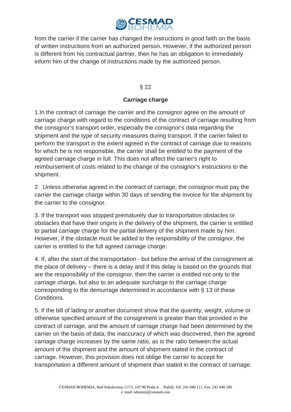

from the carrier if the carrier has changed the instructions in good faith on the basis of written instructions from an authorized person. However, if the authorized person is different from his contractual partner, then he has an obligation to immediately inform him of the change of instructions made by the authorized person.

# § 22

# **Carriage charge**

1.In the contract of carriage the carrier and the consignor agree on the amount of carriage charge with regard to the conditions of the contract of carriage resulting from the consignor's transport order, especially the consignor's data regarding the shipment and the type of security measures during transport. If the carrier failed to perform the transport in the extent agreed in the contract of carriage due to reasons for which he is not responsible, the carrier shall be entitled to the payment of the agreed carriage charge in full. This does not affect the carrier's right to reimbursement of costs related to the change of the consignor's instructions to the shipment.

2. Unless otherwise agreed in the contract of carriage, the consignor must pay the carrier the carriage charge within 30 days of sending the invoice for the shipment by the carrier to the consignor.

3. If the transport was stopped prematurely due to transportation obstacles or obstacles that have their origins in the delivery of the shipment, the carrier is entitled to partial carriage charge for the partial delivery of the shipment made by him. However, if the obstacle must be added to the responsibility of the consignor, the carrier is entitled to the full agreed carriage charge.

4. If, after the start of the transportation - but before the arrival of the consignment at the place of delivery – there is a delay and if this delay is based on the grounds that are the responsibility of the consignor, then the carrier is entitled not only to the carriage charge, but also to an adequate surcharge to the carriage charge corresponding to the demurrage determined in accordance with § 13 of these Conditions.

5. If the bill of lading or another document show that the quantity, weight, volume or otherwise specified amount of the consignment is greater than that provided in the contract of carriage, and the amount of carriage charge had been determined by the carrier on the basis of data, the inaccuracy of which was discovered, then the agreed carriage charge increases by the same ratio, as is the ratio between the actual amount of the shipment and the amount of shipment stated in the contract of carriage. However, this provision does not oblige the carrier to accept for transportation a different amount of shipment than stated in the contract of carriage.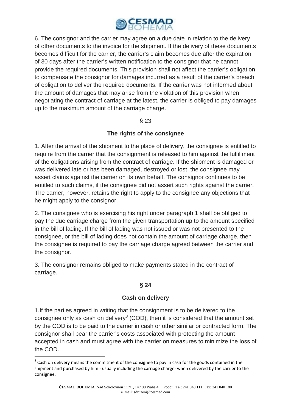

6. The consignor and the carrier may agree on a due date in relation to the delivery of other documents to the invoice for the shipment. If the delivery of these documents becomes difficult for the carrier, the carrier's claim becomes due after the expiration of 30 days after the carrier's written notification to the consignor that he cannot provide the required documents. This provision shall not affect the carrier's obligation to compensate the consignor for damages incurred as a result of the carrier's breach of obligation to deliver the required documents. If the carrier was not informed about the amount of damages that may arise from the violation of this provision when negotiating the contract of carriage at the latest, the carrier is obliged to pay damages up to the maximum amount of the carriage charge.

# § 23

# **The rights of the consignee**

1. After the arrival of the shipment to the place of delivery, the consignee is entitled to require from the carrier that the consignment is released to him against the fulfillment of the obligations arising from the contract of carriage. If the shipment is damaged or was delivered late or has been damaged, destroyed or lost, the consignee may assert claims against the carrier on its own behalf. The consignor continues to be entitled to such claims, if the consignee did not assert such rights against the carrier. The carrier, however, retains the right to apply to the consignee any objections that he might apply to the consignor.

2. The consignee who is exercising his right under paragraph 1 shall be obliged to pay the due carriage charge from the given transportation up to the amount specified in the bill of lading. If the bill of lading was not issued or was not presented to the consignee, or the bill of lading does not contain the amount of carriage charge, then the consignee is required to pay the carriage charge agreed between the carrier and the consignor.

3. The consignor remains obliged to make payments stated in the contract of carriage.

# **§ 24**

# **Cash on delivery**

1.If the parties agreed in writing that the consignment is to be delivered to the consignee only as cash on delivery<sup>3</sup> (COD), then it is considered that the amount set by the COD is to be paid to the carrier in cash or other similar or contracted form. The consignor shall bear the carrier's costs associated with protecting the amount accepted in cash and must agree with the carrier on measures to minimize the loss of the COD.

l

 $3$  Cash on delivery means the commitment of the consignee to pay in cash for the goods contained in the shipment and purchased by him - usually including the carriage charge- when delivered by the carrier to the consignee.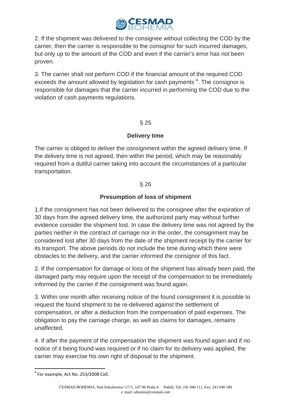

2. If the shipment was delivered to the consignee without collecting the COD by the carrier, then the carrier is responsible to the consignor for such incurred damages, but only up to the amount of the COD and even if the carrier's error has not been proven.

3. The carrier shall not perform COD if the financial amount of the required COD exceeds the amount allowed by legislation for cash payments  $4$ . The consignor is responsible for damages that the carrier incurred in performing the COD due to the violation of cash payments regulations.

# § 25

# **Delivery time**

The carrier is obliged to deliver the consignment within the agreed delivery time. If the delivery time is not agreed, then within the period, which may be reasonably required from a dutiful carrier taking into account the circumstances of a particular transportation.

# § 26

# **Presumption of loss of shipment**

1.If the consignment has not been delivered to the consignee after the expiration of 30 days from the agreed delivery time, the authorized party may without further evidence consider the shipment lost. In case the delivery time was not agreed by the parties neither in the contract of carriage nor in the order, the consignment may be considered lost after 30 days from the date of the shipment receipt by the carrier for its transport. The above periods do not include the time during which there were obstacles to the delivery, and the carrier informed the consignor of this fact.

2. If the compensation for damage or loss of the shipment has already been paid, the damaged party may require upon the receipt of the compensation to be immediately informed by the carrier if the consignment was found again.

3. Within one month after receiving notice of the found consignment it is possible to request the found shipment to be re-delivered against the settlement of compensation, or after a deduction from the compensation of paid expenses. The obligation to pay the carriage charge, as well as claims for damages, remains unaffected.

4. If after the payment of the compensation the shipment was found again and if no notice of it being found was required or if no claim for its delivery was applied, the carrier may exercise his own right of disposal to the shipment.

 $<sup>4</sup>$  For example, Act No. 253/2008 Coll.</sup>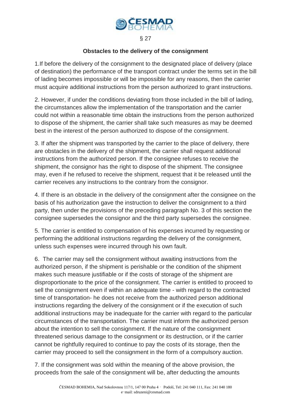

§ 27

#### **Obstacles to the delivery of the consignment**

1.If before the delivery of the consignment to the designated place of delivery (place of destination) the performance of the transport contract under the terms set in the bill of lading becomes impossible or will be impossible for any reasons, then the carrier must acquire additional instructions from the person authorized to grant instructions.

2. However, if under the conditions deviating from those included in the bill of lading, the circumstances allow the implementation of the transportation and the carrier could not within a reasonable time obtain the instructions from the person authorized to dispose of the shipment, the carrier shall take such measures as may be deemed best in the interest of the person authorized to dispose of the consignment.

3. If after the shipment was transported by the carrier to the place of delivery, there are obstacles in the delivery of the shipment, the carrier shall request additional instructions from the authorized person. If the consignee refuses to receive the shipment, the consignor has the right to dispose of the shipment. The consignee may, even if he refused to receive the shipment, request that it be released until the carrier receives any instructions to the contrary from the consignor.

4. If there is an obstacle in the delivery of the consignment after the consignee on the basis of his authorization gave the instruction to deliver the consignment to a third party, then under the provisions of the preceding paragraph No. 3 of this section the consignee supersedes the consignor and the third party supersedes the consignee.

5. The carrier is entitled to compensation of his expenses incurred by requesting or performing the additional instructions regarding the delivery of the consignment, unless such expenses were incurred through his own fault.

6. The carrier may sell the consignment without awaiting instructions from the authorized person, if the shipment is perishable or the condition of the shipment makes such measure justifiable or if the costs of storage of the shipment are disproportionate to the price of the consignment. The carrier is entitled to proceed to sell the consignment even if within an adequate time - with regard to the contracted time of transportation- he does not receive from the authorized person additional instructions regarding the delivery of the consignment or if the execution of such additional instructions may be inadequate for the carrier with regard to the particular circumstances of the transportation. The carrier must inform the authorized person about the intention to sell the consignment. If the nature of the consignment threatened serious damage to the consignment or its destruction, or if the carrier cannot be rightfully required to continue to pay the costs of its storage, then the carrier may proceed to sell the consignment in the form of a compulsory auction.

7. If the consignment was sold within the meaning of the above provision, the proceeds from the sale of the consignment will be, after deducting the amounts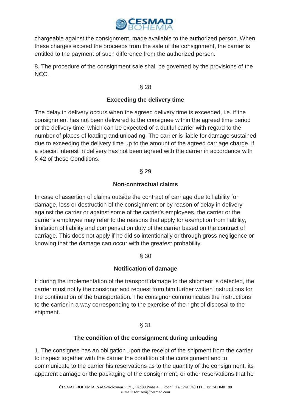

chargeable against the consignment, made available to the authorized person. When these charges exceed the proceeds from the sale of the consignment, the carrier is entitled to the payment of such difference from the authorized person.

8. The procedure of the consignment sale shall be governed by the provisions of the NCC.

§ 28

# **Exceeding the delivery time**

The delay in delivery occurs when the agreed delivery time is exceeded, i.e. if the consignment has not been delivered to the consignee within the agreed time period or the delivery time, which can be expected of a dutiful carrier with regard to the number of places of loading and unloading. The carrier is liable for damage sustained due to exceeding the delivery time up to the amount of the agreed carriage charge, if a special interest in delivery has not been agreed with the carrier in accordance with § 42 of these Conditions.

§ 29

# **Non-contractual claims**

In case of assertion of claims outside the contract of carriage due to liability for damage, loss or destruction of the consignment or by reason of delay in delivery against the carrier or against some of the carrier's employees, the carrier or the carrier's employee may refer to the reasons that apply for exemption from liability, limitation of liability and compensation duty of the carrier based on the contract of carriage. This does not apply if he did so intentionally or through gross negligence or knowing that the damage can occur with the greatest probability.

# § 30

# **Notification of damage**

If during the implementation of the transport damage to the shipment is detected, the carrier must notify the consignor and request from him further written instructions for the continuation of the transportation. The consignor communicates the instructions to the carrier in a way corresponding to the exercise of the right of disposal to the shipment.

# § 31

# **The condition of the consignment during unloading**

1. The consignee has an obligation upon the receipt of the shipment from the carrier to inspect together with the carrier the condition of the consignment and to communicate to the carrier his reservations as to the quantity of the consignment, its apparent damage or the packaging of the consignment, or other reservations that he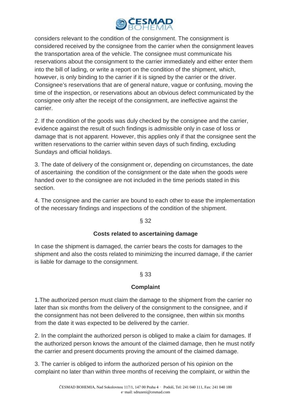

considers relevant to the condition of the consignment. The consignment is considered received by the consignee from the carrier when the consignment leaves the transportation area of the vehicle. The consignee must communicate his reservations about the consignment to the carrier immediately and either enter them into the bill of lading, or write a report on the condition of the shipment, which, however, is only binding to the carrier if it is signed by the carrier or the driver. Consignee's reservations that are of general nature, vague or confusing, moving the time of the inspection, or reservations about an obvious defect communicated by the consignee only after the receipt of the consignment, are ineffective against the carrier.

2. If the condition of the goods was duly checked by the consignee and the carrier, evidence against the result of such findings is admissible only in case of loss or damage that is not apparent. However, this applies only if that the consignee sent the written reservations to the carrier within seven days of such finding, excluding Sundays and official holidays.

3. The date of delivery of the consignment or, depending on circumstances, the date of ascertaining the condition of the consignment or the date when the goods were handed over to the consignee are not included in the time periods stated in this section.

4. The consignee and the carrier are bound to each other to ease the implementation of the necessary findings and inspections of the condition of the shipment.

# § 32

# **Costs related to ascertaining damage**

In case the shipment is damaged, the carrier bears the costs for damages to the shipment and also the costs related to minimizing the incurred damage, if the carrier is liable for damage to the consignment.

# § 33

# **Complaint**

1.The authorized person must claim the damage to the shipment from the carrier no later than six months from the delivery of the consignment to the consignee, and if the consignment has not been delivered to the consignee, then within six months from the date it was expected to be delivered by the carrier.

2. In the complaint the authorized person is obliged to make a claim for damages. If the authorized person knows the amount of the claimed damage, then he must notify the carrier and present documents proving the amount of the claimed damage.

3. The carrier is obliged to inform the authorized person of his opinion on the complaint no later than within three months of receiving the complaint, or within the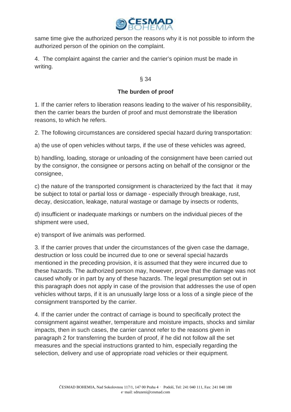

same time give the authorized person the reasons why it is not possible to inform the authorized person of the opinion on the complaint.

4. The complaint against the carrier and the carrier's opinion must be made in writing.

# § 34

# **The burden of proof**

1. If the carrier refers to liberation reasons leading to the waiver of his responsibility, then the carrier bears the burden of proof and must demonstrate the liberation reasons, to which he refers.

2. The following circumstances are considered special hazard during transportation:

a) the use of open vehicles without tarps, if the use of these vehicles was agreed,

b) handling, loading, storage or unloading of the consignment have been carried out by the consignor, the consignee or persons acting on behalf of the consignor or the consignee,

c) the nature of the transported consignment is characterized by the fact that it may be subject to total or partial loss or damage - especially through breakage, rust, decay, desiccation, leakage, natural wastage or damage by insects or rodents,

d) insufficient or inadequate markings or numbers on the individual pieces of the shipment were used,

e) transport of live animals was performed.

3. If the carrier proves that under the circumstances of the given case the damage, destruction or loss could be incurred due to one or several special hazards mentioned in the preceding provision, it is assumed that they were incurred due to these hazards. The authorized person may, however, prove that the damage was not caused wholly or in part by any of these hazards. The legal presumption set out in this paragraph does not apply in case of the provision that addresses the use of open vehicles without tarps, if it is an unusually large loss or a loss of a single piece of the consignment transported by the carrier.

4. If the carrier under the contract of carriage is bound to specifically protect the consignment against weather, temperature and moisture impacts, shocks and similar impacts, then in such cases, the carrier cannot refer to the reasons given in paragraph 2 for transferring the burden of proof, if he did not follow all the set measures and the special instructions granted to him, especially regarding the selection, delivery and use of appropriate road vehicles or their equipment.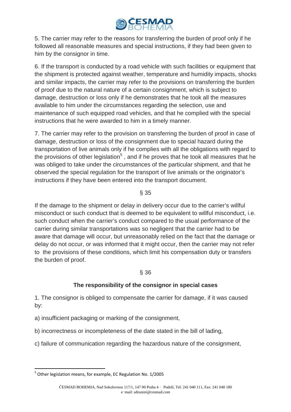

5. The carrier may refer to the reasons for transferring the burden of proof only if he followed all reasonable measures and special instructions, if they had been given to him by the consignor in time.

6. If the transport is conducted by a road vehicle with such facilities or equipment that the shipment is protected against weather, temperature and humidity impacts, shocks and similar impacts, the carrier may refer to the provisions on transferring the burden of proof due to the natural nature of a certain consignment, which is subject to damage, destruction or loss only if he demonstrates that he took all the measures available to him under the circumstances regarding the selection, use and maintenance of such equipped road vehicles, and that he complied with the special instructions that he were awarded to him in a timely manner.

7. The carrier may refer to the provision on transferring the burden of proof in case of damage, destruction or loss of the consignment due to special hazard during the transportation of live animals only if he complies with all the obligations with regard to the provisions of other legislation<sup>5</sup>, and if he proves that he took all measures that he was obliged to take under the circumstances of the particular shipment, and that he observed the special regulation for the transport of live animals or the originator's instructions if they have been entered into the transport document.

# § 35

If the damage to the shipment or delay in delivery occur due to the carrier's willful misconduct or such conduct that is deemed to be equivalent to willful misconduct, i.e. such conduct when the carrier's conduct compared to the usual performance of the carrier during similar transportations was so negligent that the carrier had to be aware that damage will occur, but unreasonably relied on the fact that the damage or delay do not occur, or was informed that it might occur, then the carrier may not refer to the provisions of these conditions, which limit his compensation duty or transfers the burden of proof.

# § 36

# **The responsibility of the consignor in special cases**

1. The consignor is obliged to compensate the carrier for damage, if it was caused by:

a) insufficient packaging or marking of the consignment,

b) incorrectness or incompleteness of the date stated in the bill of lading,

c) failure of communication regarding the hazardous nature of the consignment,

<sup>&</sup>lt;sup>5</sup> Other legislation means, for example, EC Regulation No. 1/2005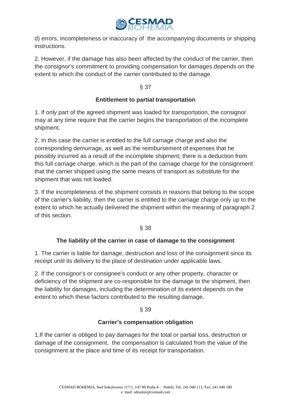

d) errors, incompleteness or inaccuracy of the accompanying documents or shipping instructions.

2. However, if the damage has also been affected by the conduct of the carrier, then the consignor's commitment to providing compensation for damages depends on the extent to which the conduct of the carrier contributed to the damage.

# § 37

# **Entitlement to partial transportation**

1. If only part of the agreed shipment was loaded for transportation, the consignor may at any time require that the carrier begins the transportation of the incomplete shipment.

2. In this case the carrier is entitled to the full carriage charge and also the corresponding demurrage, as well as the reimbursement of expenses that he possibly incurred as a result of the incomplete shipment; there is a deduction from this full carriage charge, which is the part of the carriage charge for the consignment that the carrier shipped using the same means of transport as substitute for the shipment that was not loaded.

3. If the incompleteness of the shipment consists in reasons that belong to the scope of the carrier's liability, then the carrier is entitled to the carriage charge only up to the extent to which he actually delivered the shipment within the meaning of paragraph 2 of this section.

# § 38

# **The liability of the carrier in case of damage to the consignment**

1. The carrier is liable for damage, destruction and loss of the consignment since its receipt until its delivery to the place of destination under applicable laws.

2. If the consignor's or consignee's conduct or any other property, character or deficiency of the shipment are co-responsible for the damage to the shipment, then the liability for damages, including the determination of its extent depends on the extent to which these factors contributed to the resulting damage.

# § 39

# **Carrier's compensation obligation**

1.If the carrier is obliged to pay damages for the total or partial loss, destruction or damage of the consignment, the compensation is calculated from the value of the consignment at the place and time of its receipt for transportation.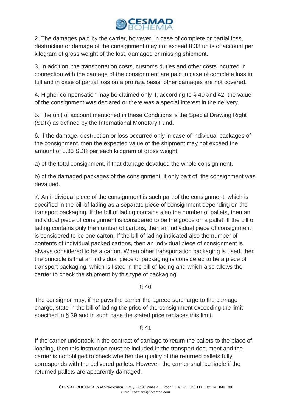

2. The damages paid by the carrier, however, in case of complete or partial loss, destruction or damage of the consignment may not exceed 8.33 units of account per kilogram of gross weight of the lost, damaged or missing shipment.

3. In addition, the transportation costs, customs duties and other costs incurred in connection with the carriage of the consignment are paid in case of complete loss in full and in case of partial loss on a pro rata basis; other damages are not covered.

4. Higher compensation may be claimed only if, according to § 40 and 42, the value of the consignment was declared or there was a special interest in the delivery.

5. The unit of account mentioned in these Conditions is the Special Drawing Right (SDR) as defined by the International Monetary Fund.

6. If the damage, destruction or loss occurred only in case of individual packages of the consignment, then the expected value of the shipment may not exceed the amount of 8.33 SDR per each kilogram of gross weight

a) of the total consignment, if that damage devalued the whole consignment,

b) of the damaged packages of the consignment, if only part of the consignment was devalued.

7. An individual piece of the consignment is such part of the consignment, which is specified in the bill of lading as a separate piece of consignment depending on the transport packaging. If the bill of lading contains also the number of pallets, then an individual piece of consignment is considered to be the goods on a pallet. If the bill of lading contains only the number of cartons, then an individual piece of consignment is considered to be one carton. If the bill of lading indicated also the number of contents of individual packed cartons, then an individual piece of consignment is always considered to be a carton. When other transportation packaging is used, then the principle is that an individual piece of packaging is considered to be a piece of transport packaging, which is listed in the bill of lading and which also allows the carrier to check the shipment by this type of packaging.

§ 40

The consignor may, if he pays the carrier the agreed surcharge to the carriage charge, state in the bill of lading the price of the consignment exceeding the limit specified in § 39 and in such case the stated price replaces this limit.

§ 41

If the carrier undertook in the contract of carriage to return the pallets to the place of loading, then this instruction must be included in the transport document and the carrier is not obliged to check whether the quality of the returned pallets fully corresponds with the delivered pallets. However, the carrier shall be liable if the returned pallets are apparently damaged.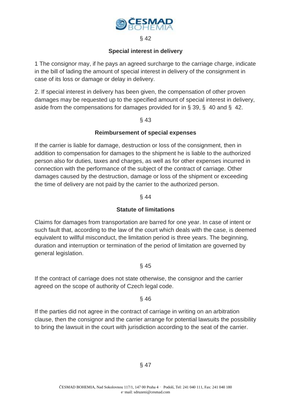

#### § 42

#### **Special interest in delivery**

1 The consignor may, if he pays an agreed surcharge to the carriage charge, indicate in the bill of lading the amount of special interest in delivery of the consignment in case of its loss or damage or delay in delivery.

2. If special interest in delivery has been given, the compensation of other proven damages may be requested up to the specified amount of special interest in delivery, aside from the compensations for damages provided for in § 39, § 40 and § 42.

# § 43

# **Reimbursement of special expenses**

If the carrier is liable for damage, destruction or loss of the consignment, then in addition to compensation for damages to the shipment he is liable to the authorized person also for duties, taxes and charges, as well as for other expenses incurred in connection with the performance of the subject of the contract of carriage. Other damages caused by the destruction, damage or loss of the shipment or exceeding the time of delivery are not paid by the carrier to the authorized person.

#### § 44

# **Statute of limitations**

Claims for damages from transportation are barred for one year. In case of intent or such fault that, according to the law of the court which deals with the case, is deemed equivalent to willful misconduct, the limitation period is three years. The beginning, duration and interruption or termination of the period of limitation are governed by general legislation.

# § 45

If the contract of carriage does not state otherwise, the consignor and the carrier agreed on the scope of authority of Czech legal code.

# § 46

If the parties did not agree in the contract of carriage in writing on an arbitration clause, then the consignor and the carrier arrange for potential lawsuits the possibility to bring the lawsuit in the court with jurisdiction according to the seat of the carrier.

# § 47